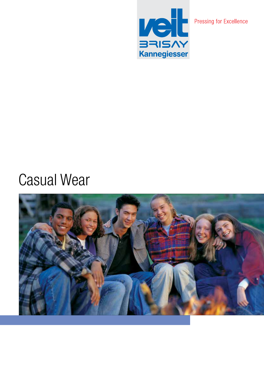

# Casual Wear

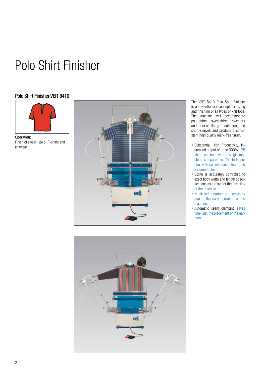## Polo Shirt Finisher

## Polo Shirt Finisher VEIT 8410



Operation: Finish of sweat-, polo-, T-shirts and knitwear



The VEIT 8410 Polo Shirt Finisher is a revolutionary concept for sizing and finishing of all types of knit tops. The machine will accommodate polo-shirts, sweatshirts, sweaters and other similar garments (long and short-sleeve), and produce a consistent high quality mark-free finish.

- Substantial High Productivity. Increased output of up to 300% - 75 shirts per hour with a single machine compared to 25 shirts per hour with convetntional steam and vacuum tables.
- Sizing is accurately controlled to exact body width and length specifications as a result of the flexibility of the machine.
- No skilled operators are necessary due to the easy operation of the machine.
- Automatic seam clamping saves time with the placement of the garment.

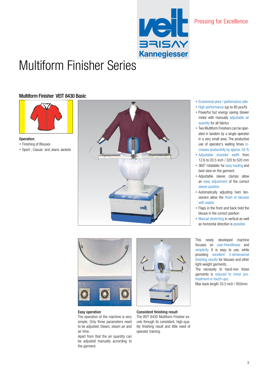

## Multiform Finisher Series

## Multiform Finisher VEIT 8430 Basic



- Operation: • Finishing of Blouses
- Sport-, Casual- and Jeans Jackets





#### Easy operation

The operation of the machine is very simple. Only three parameters need to be adjusted: Steam, steam air and air time.

Apart from that the air quantity can be adjusted manually according to the garment.



Consistent finishing result The VEIT 8430 Multiform Finisher excels through its consistent, high-quality finishing result and little need of operator training.

- Economical price / performance ratio
- High performance (up to 80 pcs/h)
- Powerful but energy saving blower motor with manually adjustable air quantity for all fabrics
- Two Multiform Finishers can be operated in tandem by a single operator in a very small area. The productive use of operator's waiting times increases productivity by approx. 50 %
- Adjustable shoulder width from 12.6 to 20.5 inch / 320 to 520 mm
- 360° rotatable: for easy loading and best view on the garment
- Adjustable sleeve clamps allow an easy adjustment of the correct sleeve position
- Automatically adjusting hem tensioners allow the finish of blouses with waists
- Flaps in the front and back hold the blouse in the correct position
- Manual stretching in vertical as well as horizontal direction is possible

This newly developed machine focuses on user-friendliness and simplicity. It is easy to use, while providing excellent 3-dimensional finishing results for blouses and other light-weight garments.

The necessity to hand-iron these garments is reduced to minor pretreatment or touch-ups.

Max back length 33.5 inch / 850mm.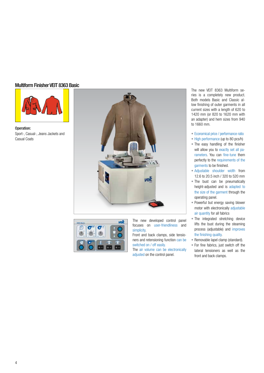## Multiform Finisher VEIT 8363 Basic



Operation: Sport-, Casual-, Jeans Jackets and Casual Coats





The new developed control panel focuses on user-friendliness and simplicity.

Front and back clamps, side tensioners and retensioning function can be switched on / off easily.

The air volume can be electronically adjusted on the control panel.

The new VEIT 8363 Multiform series is a completely new product. Both models Basic and Classic allow finishing of outer garments in all current sizes with a length of 620 to 1420 mm (or 820 to 1620 mm with an adapter) and hem sizes from 940 to 1660 mm.

- Economical price / performance ratio
- High performance (up to 80 pcs/h)
- The easy handling of the finisher will allow you to exactly set all parameters. You can fine-tune them perfectly to the requirements of the garments to be finished.
- Adjustable shoulder width from 12.6 to 20.5 inch / 320 to 520 mm
- The bust can be pneumatically height-adjusted and is adapted to the size of the garment through the operating panel.
- Powerful but energy saving blower motor with electronically adjustable air quantity for all fabrics
- The integrated stretching device lifts the bust during the steaming process (adjustable) and improves the finishing quality.
- Removable lapel clamp (standard).
- For fine fabrics, just switch off the lateral tensioners as well as the front and back clamps.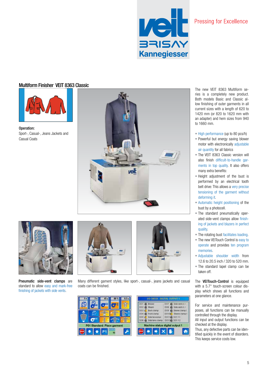

## Multiform Finisher VEIT 8363 Classic



Operation: Sport-, Casual-, Jeans Jackets and Casual Coats





Pneumatic side-vent clamps are standard to allow easy and mark-free finishing of jackets with side vents.





Many different gament styles, like sport-, casual-, jeans jackets and casual coats can be finished.

|                             | DOT.<br>Side vent ct 4<br>DOT:<br>Blower                                                                                   |
|-----------------------------|----------------------------------------------------------------------------------------------------------------------------|
|                             | DO2 & Steam<br>DOB & Side vent cl. r                                                                                       |
|                             | DO3 C Back clamp<br>DOS & Sleeve clamp<br>DO4 C Front clamp<br>DO10 C Sleeve clamp<br>DOS C Bide tensioner<br>DO11 @ DO111 |
| P01 Standard: Place garment | DOB @ Side tens clamp<br>D017 00117<br>Machine status digital output 1                                                     |

The new VEIT 8363 Multiform series is a completely new product. Both models Basic and Classic allow finishing of outer garments in all current sizes with a length of 620 to 1420 mm (or 820 to 1620 mm with an adapter) and hem sizes from 940 to 1660 mm.

- High performance (up to 80 pcs/h)
- Powerful but energy saving blower motor with electronically adjustable air quantity for all fabrics
- The VEIT 8363 Classic version will also finish difficult-to-handle garments in top quality. It also offers many extra benefits:
- Height adjustment of the bust is performed by an electrical tooth belt drive: This allows a very precise tensioning of the garment without deforming it.
- Automatic height positioning of the bust by a photocell.
- The standard pneumatically operated side-vent clamps allow finishing of jackets and blazers in perfect quality.
- The rotating bust facilitates loading.
- The new VEITouch Control is easy to operate and provides ten program memories.
- Adjustable shoulder width from 12.6 to 20.5 inch / 320 to 520 mm.
- The standard lapel clamp can be taken off.

The **VEITouch-Control** is equipped with a 5.7" touch-screen colour display which shows all functions and parameters at one glance.

For service and maintenance purposes, all functions can be manually controlled through the display.

All input and output functions can be checked at the display.

Thus, any defective parts can be identified quickly in the event of disorders. This keeps service costs low.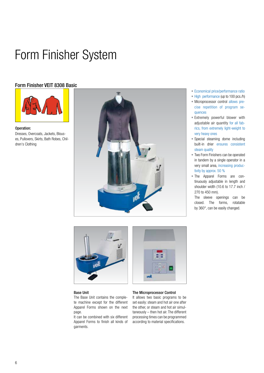## Form Finisher System

## Form Finisher VEIT 8308 Basic



Operation: Dresses, Overcoats, Jackets, Blouses, Pullovers, Skirts, Bath Robes, Children's Clothing



- Economical price/performance ratio
- High performance (up to 100 pcs./h)
- Microprocessor control allows precise repetition of program sequences
- Extremely powerful blower with adjustable air quantity for all fabrics, from extremely light-weight to very heavy ones
- Special steaming dome including built-in drier ensures consistent steam quality
- Two Form Finishers can be operated in tandem by a single operator in a very small area, increasing productivity by approx. 50 %
- The Apparel Forms are continuously adjustable in length and shoulder width (10.6 to 17.7 inch / 270 to 450 mm).

The sleeve openings can be closed. The forms, rotatable by 360°, can be easily changed.



### Base Unit

The Base Unit contains the complete machine except for the different Apparel Forms shown on the next page.

It can be combined with six different Apparel Forms to finish all kinds of garments.

#### The Microprocessor Control

und

It allows two basic programs to be set easily: steam and hot air one after the other, or steam and hot air simultaneously – then hot air. The different processing times can be programmed according to material specifications.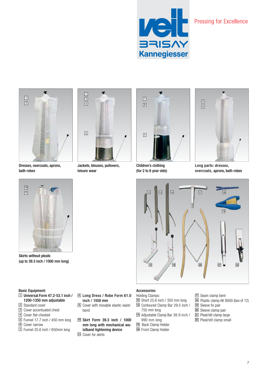



Dresses, overcoats, aprons, bath robes



Jackets, blouses, pullovers, leisure wear



Children's clothing (for 2 to 6 year olds)



Long parts: dresses, overcoats, aprons, bath robes





(up to 39.3 inch / 1000 mm long)

## Basic Equipment:

- Universal Form 47.2-53.1 inch / 1200-1350 mm adjustable
- Standard cover
- Cover accentuated chest
- Cover flat-chested
- Funnel 17.7 inch / 450 mm long
- Cover narrow
- Funnel 25.6 inch / 650mm long
- Long Dress / Robe Form 61.0 inch / 1550 mm
- Cover with movable elastic waistband
- Skirt Form 39.3 inch / 1000 mm long with mechanical waistband tightening device Cover for skirts

## Holding Clamps:

- Short 25.6 inch / 350 mm long
- Contoured Clamp Bar 29.5 inch / 750 mm long
- Adjustable Clamp Bar 38.9 inch / 990 mm long
- Back Clamp Holder
- Front Clamp Holder
- Seam clamp bent
- Plastic clamp AK 8000 (box of 12)
- 19 Sleeve fix pair
- Sleeve clamp pair
- Pleat/slit clamp large
- Pleat/slit clamp small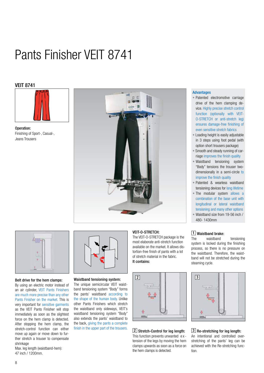# Pants Finisher VEIT 8741

## VEIT 8741



Operation: Finishing of Sport-, Casual-, Jeans Trousers





### Belt drive for the hem clamps:

By using an electric motor instead of an air cylinder, VEIT Pants Finishers are much more precise than any other Pants Finisher on the market. This is very important for sensitive garments as the VEIT Pants Finisher will stop immediately as soon as the slightest force on the hem clamp is detected. After stopping the hem clamp, the stretch-control function can either move up again or move down to further stretch a trouser to compensate shrinkage

Max. leg length (waistband-hem): 47 inch / 1200mm.



### Waistband tensioning system:

The unique semicircular VEIT waistband tensioning system "Body" forms the pants' waistband according to the shape of the human body. Unlike other Pants Finishers which stretch the waistband only sideways, VEIT's waistband tensioning system "Body" also extends the pants' waistband to the back, giving the pants a complete finish in the upper part of the trousers.

## VEIT-O-STRETCH:

The VEIT-O-STRETCH package is the most elaborate anti-stretch function available on the market. It allows distortion-free finish of pants with a lot of stretch material in the fabric. It contains:



## 2 Stretch-Control for leg length:

This function prevents unwanted e xtension of the legs by moving the hem clamps upwards as soon as a force on the hem clamps is detected.

## Advantages

- Patented electromotive carriage drive of the hem clamping device. Highly precise stretch control function (optionally with VEIT-O-STRETCH or anti-stretch leg) ensures damage-free finishing of even sensitive stretch fabrics
- Loading height is easily adjustable in 3 steps using foot pedal (with option short trousers package)
- Smooth and steady running of carriage improves the finish quality
- Waistband tensioning system "Body" tensions the trouser twodimensionally in a semi-circle to improve the finish quality
- Patented & wearless waistband tensioning devices for long lifetime
- The modular system allows a combination of the base unit with longitudinal or lateral waistband tensioning and many other options
- Waistband size from 19-56 inch / 480- 1430mm

## 1 Waistband brake:

The waistband tensioning system is locked during the finishing process, so there is no pressure on the waistband. Therefore, the waistband will not be stretched during the steaming cycle.



## 3 Re-stretching for leg length:

An intentional and controlled overstretching of the pants' leg can be achieved with the Re-stretching function.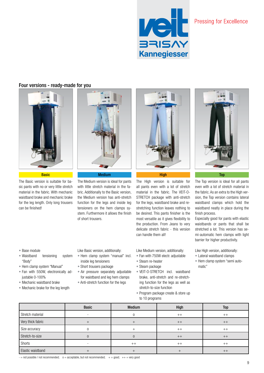

## Four versions - ready-made for you





The Basic version is suitable for basic pants with no or very little stretch material in the fabric. With mechanic waistband brake and mechanic brake for the leg length. Only long trousers can be finished!

The Medium version is ideal for pants with little stretch material in the fabric. Additionally to the Basic version, the Medium version has anti-stretch function for the legs and inside leg tensioners on the hem clamps system. Furthermore it allows the finish of short trousers.



#### Basic Medium Medium High Top <mark>High Top Top</mark>

The High version is suitable for all pants even with a lot of stretch material in the fabric. The VEIT-O-STRETCH package with anti-stretch for the legs, waistband brake and restretching function leaves nothing to be desired. This pants finisher is the most versatile as it gives flexibility to the production. From Jeans to very delicate stretch fabric - this version can handle them all!

Like Medium version, additionally:

- Fan with 750W electr. adjustable
- Steam re-heater
- Steam package
- VEIT-O-STRETCH incl. waistband brake, anti-stretch and re-stretching function for the legs as well as stretch-to-size function
- Program package create & store up to 10 programs



The Top version is ideal for all pants even with a lot of stretch material in the fabric. As an extra to the High version, the Top version contains lateral waistband clamps which hold the waistband neatly in place during the finish process.

Especially good for pants with elastic waistbands or pants that shall be stretched a lot. This version has semi-automatic hem clamps with light barrier for higher productivity.

Like High version, additionally:

- Lateral waistband clamps
- Hem clamp system "semi automatic"
- Base module
- Waistband tensioning system "Body"
- Hem clamp system "Manual"
- Fan with 550W, electronically adjustable 0-100%
- Mechanic waistband brake
- Mechanic brake for the leg length

Like Basic version, additionally:

- Hem clamp system "manual" incl. inside leg tensioners
- Short trousers package
- Air pressure separately adjustable for waistband and leg hem clamps
- Anti-stretch function for the legs

Basic Medium High Top Stretch material the contract of the contract of the contract of the contract of the contract of the contract o Very thick fabric + + ++ ++ Size accuracy and the contract of the contract of the contract of the contract of the contract of the contract of the contract of the contract of the contract of the contract of the contract of the contract of the contrac Stretch-to-size o o ++ ++ Shorts - ++ ++ ++ Elastic waistband  $\begin{array}{ccc} \vert & + & \vert & + & \vert & + \end{array}$ 

 $-$  = not possible / not recommended;  $o =$  acceptable, but not recommended;  $+$  = good;  $++$  = very good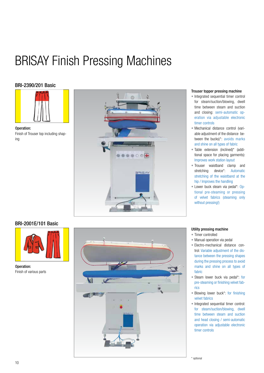## BRISAY Finish Pressing Machines

## BRI-2390/201 Basic



Operation: Finish of Trouser top including shaping



### Trouser topper pressing machine

- Integrated sequential timer control for steam/suction/blowing, dwell time between steam and suction and closing: semi-automatic operation via adjustable electronic timer controls
- Mechanical distance control (variable adjustment of the distance between the bucks)\*: avoids marks and shine on all types of fabric
- Table extension (inclined)\* (additional space for placing garments): Improves work station layout
- Trouser waistband clamp and stretching device\*: Automatic stretching of the waistband at the hip / Improves the handling
- Lower buck steam via pedal\*: Optional pre-steaming or pressing of velvet fabrics (steaming only without pressing!)

## BRI-2001E/101 Basic



Operation: Finish of various parts



### Utility pressing machine

- Timer controlled
- Manual operation via pedal
- Electro-mechanical distance control: Variable adjustment of the distance between the pressing shapes during the pressing process to avoid marks and shine on all types of fabric
- Steam lower buck via pedal\*: for pre-steaming or finishing velvet fabrics
- Blowing lower buck\*: for finishing velvet fabrics
- Integrated sequential timer control: for steam/suction/blowing, dwell time between steam and suction and head closing / semi-automatic operation via adjustable electronic timer controls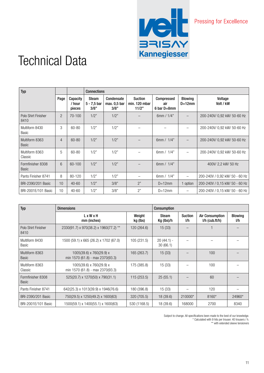

## Technical Data

| <b>Typ</b>                        |                 |                              | <b>Connections</b>                    |                                    |                                          |                                  |                             |                                |  |  |
|-----------------------------------|-----------------|------------------------------|---------------------------------------|------------------------------------|------------------------------------------|----------------------------------|-----------------------------|--------------------------------|--|--|
|                                   | Page            | Capacity<br>/ hour<br>pieces | <b>Steam</b><br>$5 - 7.5$ bar<br>3/8" | Condensate<br>max. 0.5 bar<br>3/8" | <b>Suction</b><br>min. 120 mbar<br>11/2" | Compressed<br>air<br>6 bar D=8mm | <b>Blowing</b><br>$D=12$ mm | Voltage<br>Volt / kW           |  |  |
| Polo Shirt Finisher<br>8410       | $\overline{2}$  | $70 - 100$                   | 1/2"                                  | 1/2"                               |                                          | 6mm $/ 1/4"$                     |                             | 200-240V/ 0.92 kW/ 50-60 Hz    |  |  |
| Multiform 8430<br>Basic           | 3               | 60-80                        | 1/2"                                  | 1/2"                               |                                          |                                  |                             | 200-240V/ 0.92 kW/ 50-60 Hz    |  |  |
| Multiform 8363<br><b>Basic</b>    | 4               | $60 - 80$                    | 1/2"                                  | 1/2"                               |                                          | 6mm $/ 1/4"$                     |                             | 200-240V/ 0.92 kW/ 50-60 Hz    |  |  |
| Multiform 8363<br>Classic         | 5               | $60 - 80$                    | 1/2"                                  | 1/2"                               |                                          | 6mm / $1/4"$                     |                             | 200-240V/ 0.92 kW/ 50-60 Hz    |  |  |
| Formfinisher 8308<br><b>Basic</b> | 6               | 60-100                       | 1/2"                                  | 1/2"                               |                                          | 6mm / $1/4"$                     |                             | 400V/2,2 kW/50 Hz              |  |  |
| Pants Finisher 8741               | 8               | 80-120                       | 1/2"                                  | 1/2"                               |                                          | 6mm $/ 1/4"$                     |                             | 200-240V / 0,92 kW/ 50 - 60 Hz |  |  |
| BRI-2390/201 Basic                | 10              | $40 - 60$                    | 1/2"                                  | 3/8"                               | 2"                                       | $D=12$ mm                        | 1 option                    | 200-240V / 0.15 kW/ 50 - 60 Hz |  |  |
| BRI-2001E/101 Basic               | 10 <sup>°</sup> | 40-60                        | 1/2"                                  | 3/8"                               | 2"                                       | $D=12$ mm                        |                             | 200-240V / 0.15 kW/ 50 - 60 Hz |  |  |

| <b>Typ</b>                        | <b>Dimensions</b>                                            |                    | <b>Consumption</b>       |                       |                                          |                       |
|-----------------------------------|--------------------------------------------------------------|--------------------|--------------------------|-----------------------|------------------------------------------|-----------------------|
|                                   | L x W x H<br>mm (inches)                                     | Weight<br>kg (lbs) | Steam<br>Kg (lbs)/h      | <b>Suction</b><br>I/h | <b>Air Consumption</b><br>I/h (cub.ft/h) | <b>Blowing</b><br>l/h |
| Polo Shirt Finisher<br>8410       | 2330(91.7) x 970(38.2) x 1960(77.2) **                       | 120 (264.6)        | 15(33)                   |                       |                                          |                       |
| Multiform 8430<br>Basic           | 1500 (59.1) x 665 (26.2) x 1702 (67.0)                       | 105 (231.5)        | $20(44.1) -$<br>30(66.1) |                       |                                          |                       |
| Multiform 8363<br><b>Basic</b>    | 1005(39.6) x 760(29.9) x<br>min 1570 (61.8) - max 2370(93.3) | 165 (263.7)        | 15(33)                   |                       | 100                                      |                       |
| Multiform 8363<br>Classic         | 1005(39.6) x 760(29.9) x<br>min 1570 (61.8) - max 2370(93.3) | 175 (385.8)        | 15(33)                   |                       | 100                                      |                       |
| Formfinisher 8308<br><b>Basic</b> | 525(20.7) x 1270(50) x 790(31.1)                             | 115(253.5)         | 25(55.1)                 |                       | 60                                       |                       |
| Pants Finisher 8741               | 642(25.3) x 1013(39.9) x 1946(76.6)                          | 180 (396.8)        | 15(33)                   |                       | 120                                      |                       |
| BRI-2390/201 Basic                | 750(29.5) x 1250(49.2) x 1600(63)                            | 320 (705.5)        | 18 (39.6)                | 210000*               | 8160*                                    | 24960*                |
| BRI-2001E/101 Basic               | 1500(59.1) x 1400(55.1) x 1600(63)                           | 530 (1168.5)       | 18 (39.6)                | 168000                | 2700                                     | 8340                  |

Subject to change. All specifications been made to the best of our knowledge. \* Calculated with 9 hits per trouser. 40 trousers / h. \*\* with extended sleeve tensioners